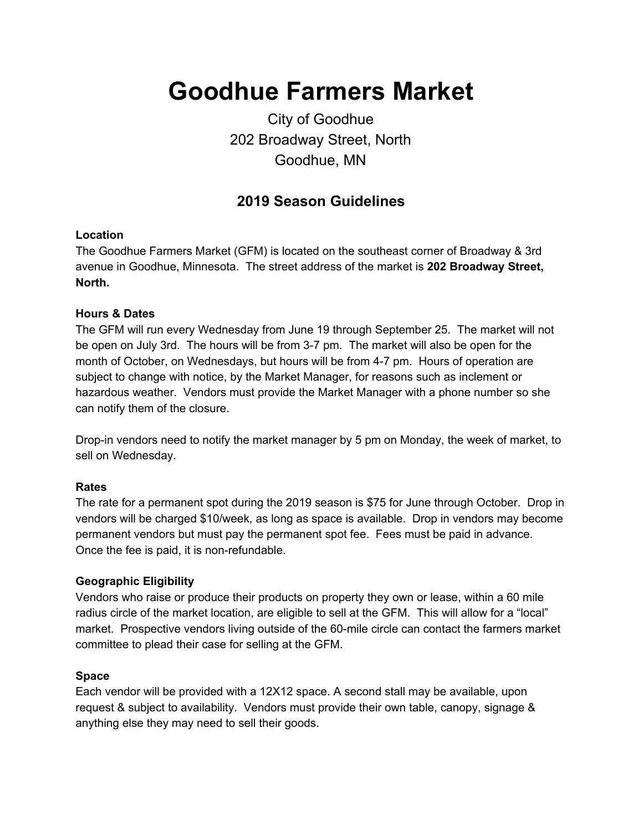# **Goodhue Farmers Market**

# City of Goodhue 202 Broadway Street, North Goodhue, MN

## **2019 Season Guidelines**

### **Location**

The Goodhue Farmers Market (GFM) is located on the southeast corner of Broadway & 3rd avenue in Goodhue, Minnesota. The street address of the market is **202 Broadway Street, North.**

#### **Hours & Dates**

The GFM will run every Wednesday from June 19 through September 25. The market will not be open on July 3rd. The hours will be from 3-7 pm. The market will also be open for the month of October, on Wednesdays, but hours will be from 4-7 pm. Hours of operation are subject to change with notice, by the Market Manager, for reasons such as inclement or hazardous weather. Vendors must provide the Market Manager with a phone number so she can notify them of the closure.

Drop-in vendors need to notify the market manager by 5 pm on Monday, the week of market, to sell on Wednesday.

#### **Rates**

The rate for a permanent spot during the 2019 season is \$75 for June through October. Drop in vendors will be charged \$10/week, as long as space is available. Drop in vendors may become permanent vendors but must pay the permanent spot fee. Fees must be paid in advance. Once the fee is paid, it is non-refundable.

#### **Geographic Eligibility**

Vendors who raise or produce their products on property they own or lease, within a 60 mile radius circle of the market location, are eligible to sell at the GFM. This will allow for a "local" market. Prospective vendors living outside of the 60-mile circle can contact the farmers market committee to plead their case for selling at the GFM.

#### **Space**

Each vendor will be provided with a 12X12 space. A second stall may be available, upon request & subject to availability. Vendors must provide their own table, canopy, signage & anything else they may need to sell their goods.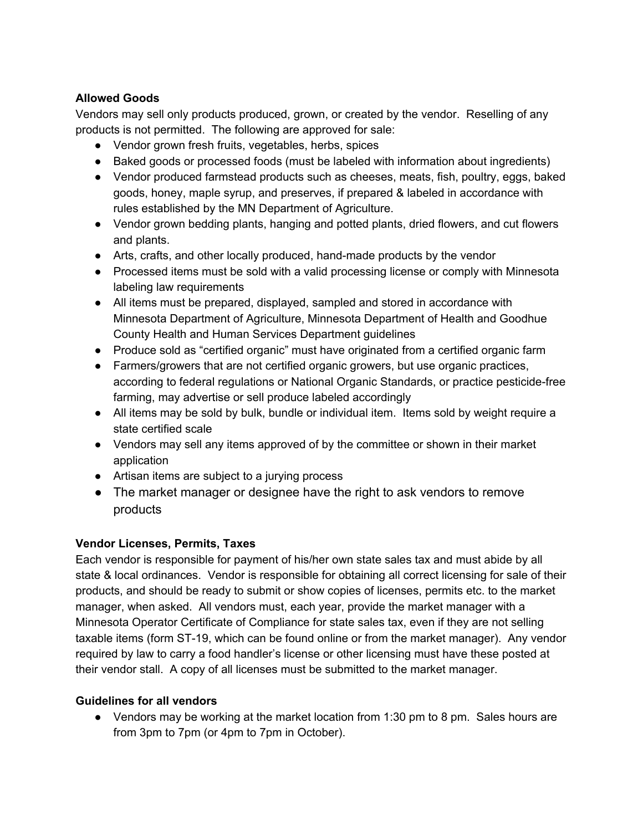## **Allowed Goods**

Vendors may sell only products produced, grown, or created by the vendor. Reselling of any products is not permitted. The following are approved for sale:

- Vendor grown fresh fruits, vegetables, herbs, spices
- Baked goods or processed foods (must be labeled with information about ingredients)
- Vendor produced farmstead products such as cheeses, meats, fish, poultry, eggs, baked goods, honey, maple syrup, and preserves, if prepared & labeled in accordance with rules established by the MN Department of Agriculture.
- Vendor grown bedding plants, hanging and potted plants, dried flowers, and cut flowers and plants.
- Arts, crafts, and other locally produced, hand-made products by the vendor
- Processed items must be sold with a valid processing license or comply with Minnesota labeling law requirements
- All items must be prepared, displayed, sampled and stored in accordance with Minnesota Department of Agriculture, Minnesota Department of Health and Goodhue County Health and Human Services Department guidelines
- Produce sold as "certified organic" must have originated from a certified organic farm
- Farmers/growers that are not certified organic growers, but use organic practices, according to federal regulations or National Organic Standards, or practice pesticide-free farming, may advertise or sell produce labeled accordingly
- All items may be sold by bulk, bundle or individual item. Items sold by weight require a state certified scale
- Vendors may sell any items approved of by the committee or shown in their market application
- Artisan items are subject to a jurying process
- The market manager or designee have the right to ask vendors to remove products

## **Vendor Licenses, Permits, Taxes**

Each vendor is responsible for payment of his/her own state sales tax and must abide by all state & local ordinances. Vendor is responsible for obtaining all correct licensing for sale of their products, and should be ready to submit or show copies of licenses, permits etc. to the market manager, when asked. All vendors must, each year, provide the market manager with a Minnesota Operator Certificate of Compliance for state sales tax, even if they are not selling taxable items (form ST-19, which can be found online or from the market manager). Any vendor required by law to carry a food handler's license or other licensing must have these posted at their vendor stall. A copy of all licenses must be submitted to the market manager.

### **Guidelines for all vendors**

• Vendors may be working at the market location from 1:30 pm to 8 pm. Sales hours are from 3pm to 7pm (or 4pm to 7pm in October).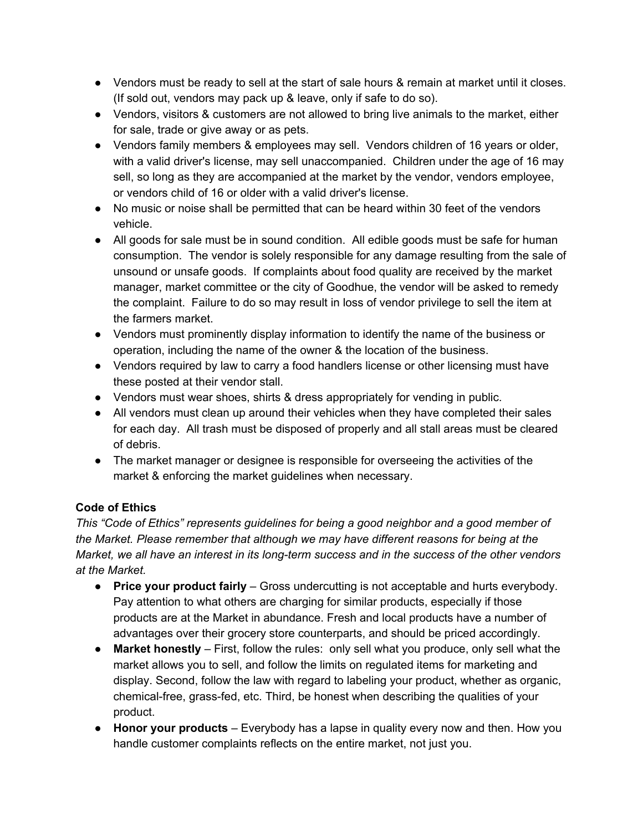- Vendors must be ready to sell at the start of sale hours & remain at market until it closes. (If sold out, vendors may pack up & leave, only if safe to do so).
- Vendors, visitors & customers are not allowed to bring live animals to the market, either for sale, trade or give away or as pets.
- Vendors family members & employees may sell. Vendors children of 16 years or older, with a valid driver's license, may sell unaccompanied. Children under the age of 16 may sell, so long as they are accompanied at the market by the vendor, vendors employee, or vendors child of 16 or older with a valid driver's license.
- No music or noise shall be permitted that can be heard within 30 feet of the vendors vehicle.
- All goods for sale must be in sound condition. All edible goods must be safe for human consumption. The vendor is solely responsible for any damage resulting from the sale of unsound or unsafe goods. If complaints about food quality are received by the market manager, market committee or the city of Goodhue, the vendor will be asked to remedy the complaint. Failure to do so may result in loss of vendor privilege to sell the item at the farmers market.
- Vendors must prominently display information to identify the name of the business or operation, including the name of the owner & the location of the business.
- Vendors required by law to carry a food handlers license or other licensing must have these posted at their vendor stall.
- Vendors must wear shoes, shirts & dress appropriately for vending in public.
- All vendors must clean up around their vehicles when they have completed their sales for each day. All trash must be disposed of properly and all stall areas must be cleared of debris.
- The market manager or designee is responsible for overseeing the activities of the market & enforcing the market guidelines when necessary.

## **Code of Ethics**

*This "Code of Ethics" represents guidelines for being a good neighbor and a good member of the Market. Please remember that although we may have different reasons for being at the Market, we all have an interest in its long-term success and in the success of the other vendors at the Market.*

- **Price your product fairly** Gross undercutting is not acceptable and hurts everybody. Pay attention to what others are charging for similar products, especially if those products are at the Market in abundance. Fresh and local products have a number of advantages over their grocery store counterparts, and should be priced accordingly.
- **Market honestly** First, follow the rules: only sell what you produce, only sell what the market allows you to sell, and follow the limits on regulated items for marketing and display. Second, follow the law with regard to labeling your product, whether as organic, chemical-free, grass-fed, etc. Third, be honest when describing the qualities of your product.
- **Honor your products** Everybody has a lapse in quality every now and then. How you handle customer complaints reflects on the entire market, not just you.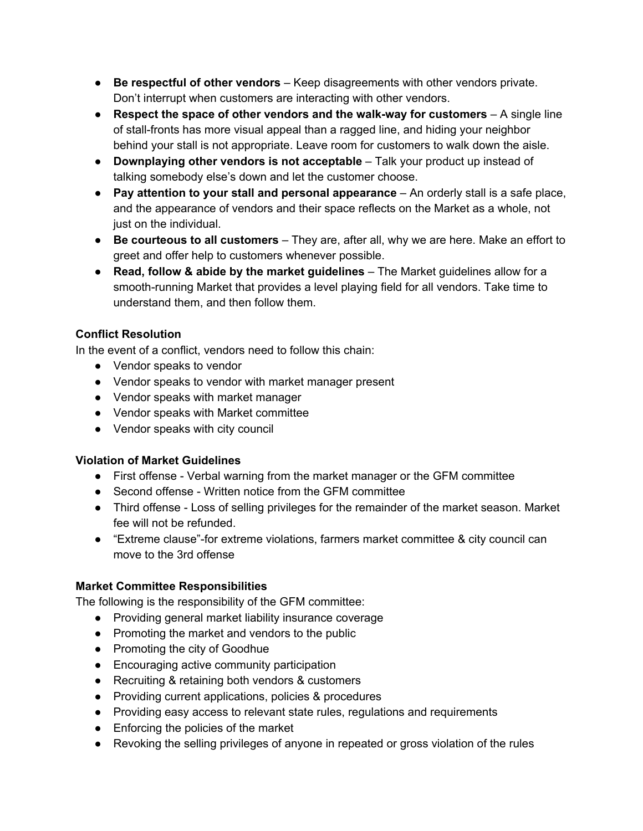- **Be respectful of other vendors** Keep disagreements with other vendors private. Don't interrupt when customers are interacting with other vendors.
- **Respect the space of other vendors and the walk-way for customers** A single line of stall-fronts has more visual appeal than a ragged line, and hiding your neighbor behind your stall is not appropriate. Leave room for customers to walk down the aisle.
- **Downplaying other vendors is not acceptable** Talk your product up instead of talking somebody else's down and let the customer choose.
- **Pay attention to your stall and personal appearance** An orderly stall is a safe place, and the appearance of vendors and their space reflects on the Market as a whole, not just on the individual.
- **Be courteous to all customers** They are, after all, why we are here. Make an effort to greet and offer help to customers whenever possible.
- **Read, follow & abide by the market guidelines** The Market guidelines allow for a smooth-running Market that provides a level playing field for all vendors. Take time to understand them, and then follow them.

## **Conflict Resolution**

In the event of a conflict, vendors need to follow this chain:

- Vendor speaks to vendor
- Vendor speaks to vendor with market manager present
- Vendor speaks with market manager
- Vendor speaks with Market committee
- Vendor speaks with city council

## **Violation of Market Guidelines**

- First offense Verbal warning from the market manager or the GFM committee
- Second offense Written notice from the GFM committee
- Third offense Loss of selling privileges for the remainder of the market season. Market fee will not be refunded.
- "Extreme clause"-for extreme violations, farmers market committee & city council can move to the 3rd offense

## **Market Committee Responsibilities**

The following is the responsibility of the GFM committee:

- Providing general market liability insurance coverage
- Promoting the market and vendors to the public
- Promoting the city of Goodhue
- Encouraging active community participation
- Recruiting & retaining both vendors & customers
- Providing current applications, policies & procedures
- Providing easy access to relevant state rules, regulations and requirements
- Enforcing the policies of the market
- Revoking the selling privileges of anyone in repeated or gross violation of the rules